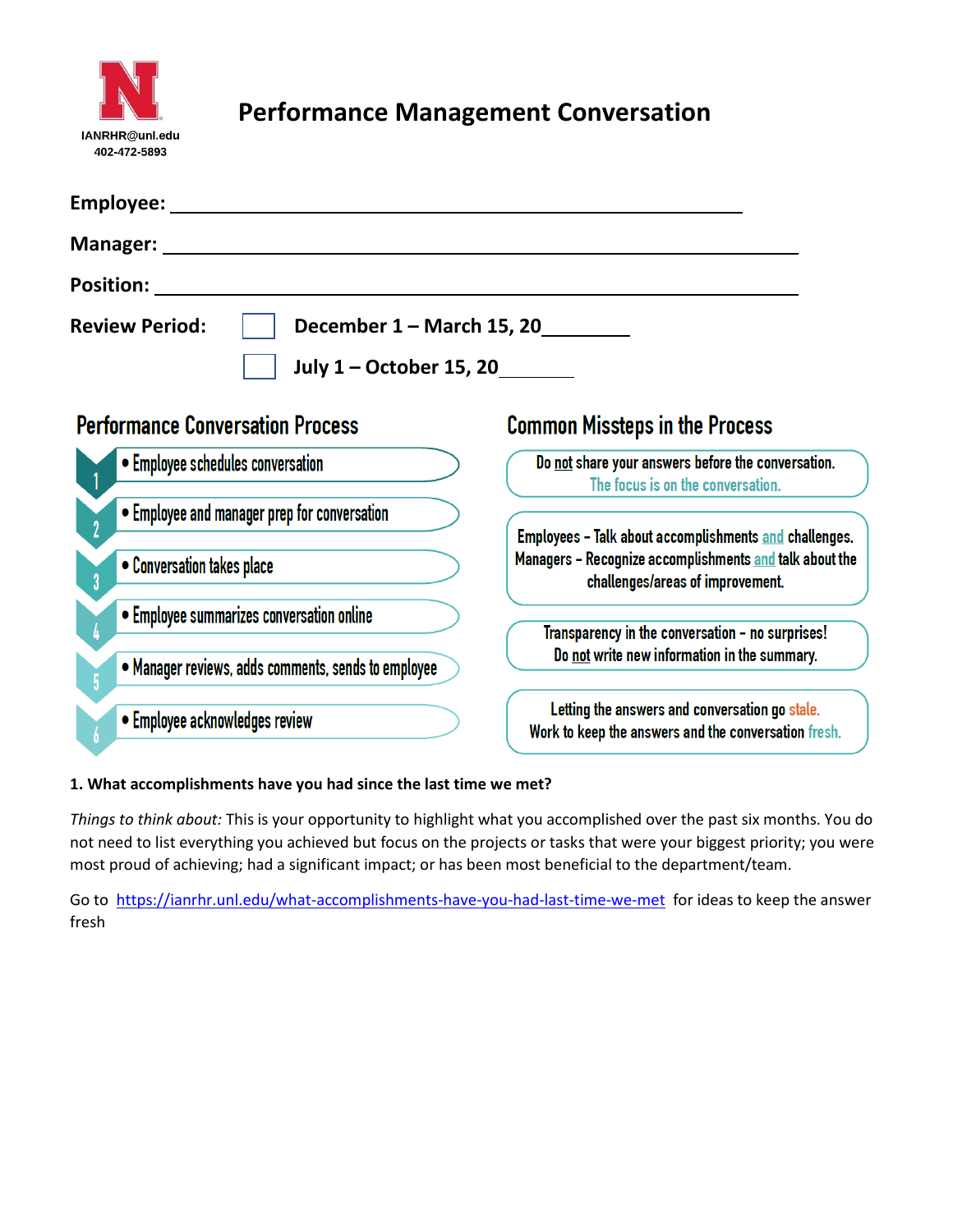

# **Performance Management Conversation**

| Employee:                                                                      |                                                                                                        |
|--------------------------------------------------------------------------------|--------------------------------------------------------------------------------------------------------|
| Manager:                                                                       |                                                                                                        |
| <b>Position:</b>                                                               |                                                                                                        |
| December 1 - March 15, 20_<br><b>Review Period:</b><br>July 1 – October 15, 20 |                                                                                                        |
| <b>Performance Conversation Process</b>                                        | <b>Common Missteps in the Process</b>                                                                  |
| • Employee schedules conversation                                              | Do not share your answers before the conversation.<br>The focus is on the conversation.                |
| • Employee and manager prep for conversation                                   | Employees - Talk about accomplishments and challenges.                                                 |
| • Conversation takes place                                                     | Managers - Recognize accomplishments and talk about the<br>challenges/areas of improvement.            |
| • Employee summarizes conversation online                                      | Transparency in the conversation - no surprises!                                                       |
| • Manager reviews, adds comments, sends to employee                            | Do not write new information in the summary.                                                           |
| • Employee acknowledges review                                                 | Letting the answers and conversation go stale.<br>Work to keep the answers and the conversation fresh. |

## **1. What accomplishments have you had since the last time we met?**

*Things to think about:* This is your opportunity to highlight what you accomplished over the past six months. You do not need to list everything you achieved but focus on the projects or tasks that were your biggest priority; you were most proud of achieving; had a significant impact; or has been most beneficial to the department/team.

Go to<https://ianrhr.unl.edu/what-accomplishments-have-you-had-last-time-we-met>for ideas to keep the answer fresh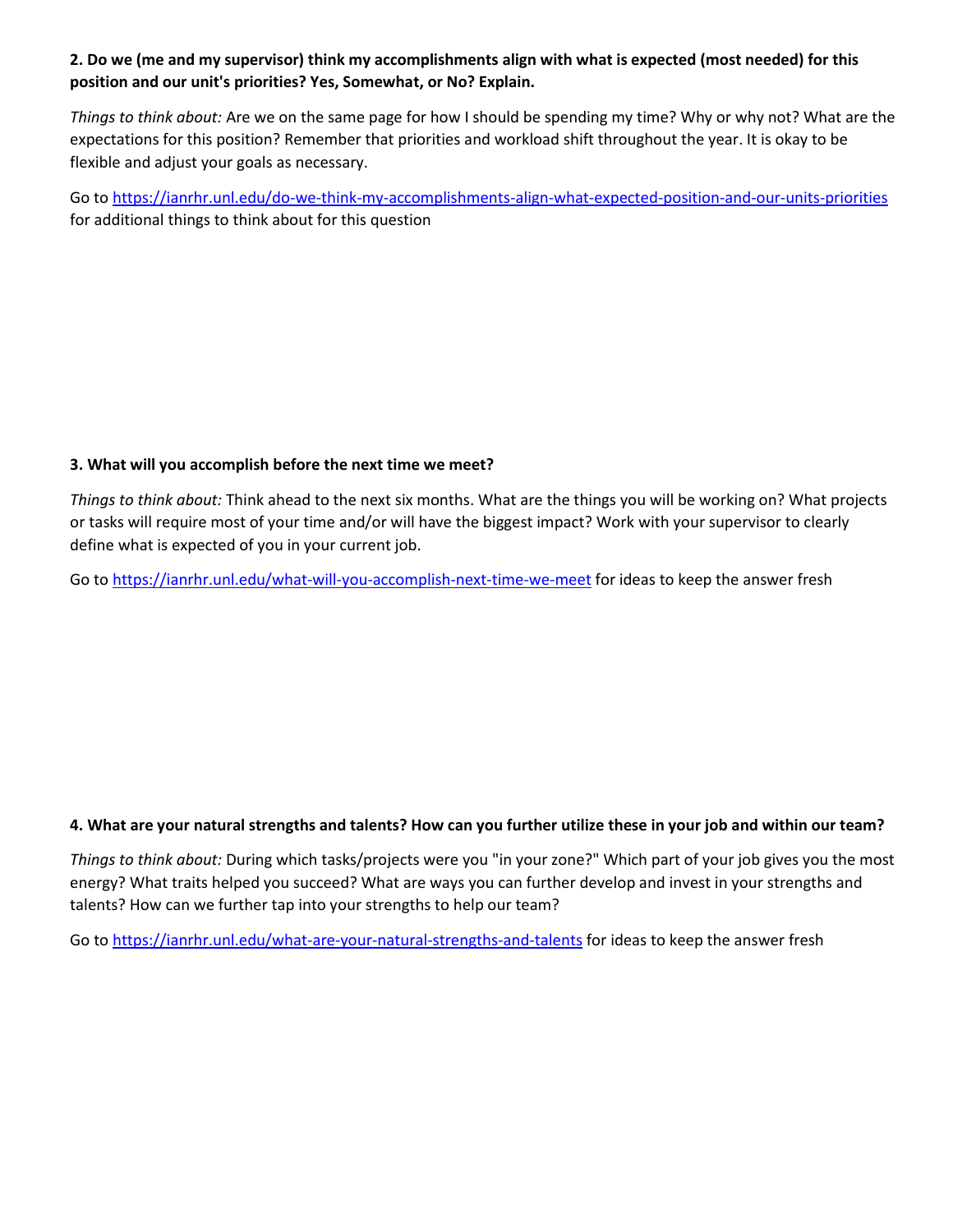## **2. Do we (me and my supervisor) think my accomplishments align with what is expected (most needed) for this position and our unit's priorities? Yes, Somewhat, or No? Explain.**

*Things to think about:* Are we on the same page for how I should be spending my time? Why or why not? What are the expectations for this position? Remember that priorities and workload shift throughout the year. It is okay to be flexible and adjust your goals as necessary.

Go to<https://ianrhr.unl.edu/do-we-think-my-accomplishments-align-what-expected-position-and-our-units-priorities> for additional things to think about for this question

#### **3. What will you accomplish before the next time we meet?**

*Things to think about:* Think ahead to the next six months. What are the things you will be working on? What projects or tasks will require most of your time and/or will have the biggest impact? Work with your supervisor to clearly define what is expected of you in your current job.

Go to<https://ianrhr.unl.edu/what-will-you-accomplish-next-time-we-meet> for ideas to keep the answer fresh

## **4. What are your natural strengths and talents? How can you further utilize these in your job and within our team?**

*Things to think about:* During which tasks/projects were you "in your zone?" Which part of your job gives you the most energy? What traits helped you succeed? What are ways you can further develop and invest in your strengths and talents? How can we further tap into your strengths to help our team?

Go to<https://ianrhr.unl.edu/what-are-your-natural-strengths-and-talents> for ideas to keep the answer fresh